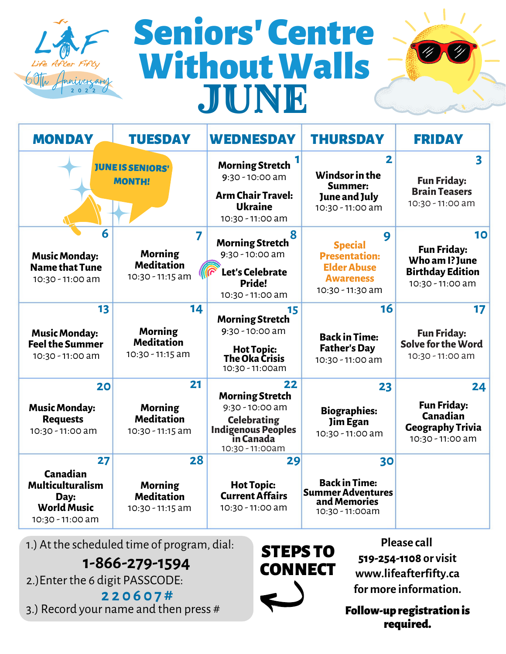

# JUNE Seniors' Centre WithoutWalls



| <b>MONDAY</b>                                                                               | <b>TUESDAY</b>                                                | <b>WEDNESDAY</b>                                                                                                              | <b>THURSDAY</b>                                                                                           | <b>FRIDAY</b>                                                                             |
|---------------------------------------------------------------------------------------------|---------------------------------------------------------------|-------------------------------------------------------------------------------------------------------------------------------|-----------------------------------------------------------------------------------------------------------|-------------------------------------------------------------------------------------------|
|                                                                                             | <b>JUNE IS SENIORS'</b><br><b>MONTH!</b>                      | <b>Morning Stretch</b><br>$9:30 - 10:00$ am<br><b>Arm Chair Travel:</b><br><b>Ukraine</b><br>10:30 - 11:00 am                 | $\overline{2}$<br>Windsor in the<br>Summer:<br>June and July<br>10:30 - 11:00 am                          | 3<br><b>Fun Friday:</b><br><b>Brain Teasers</b><br>10:30 - 11:00 am                       |
| 6<br><b>Music Monday:</b><br><b>Name that Tune</b><br>10:30 - 11:00 am                      | 7<br><b>Morning</b><br><b>Meditation</b><br>10:30 - 11:15 am  | 8<br><b>Morning Stretch</b><br>$9:30 - 10:00$ am<br>Let's Celebrate<br>Pride!<br>10:30 - 11:00 am                             | 9<br><b>Special</b><br><b>Presentation:</b><br><b>Elder Abuse</b><br><b>Awareness</b><br>10:30 - 11:30 am | 10<br><b>Fun Friday:</b><br>Who am I? June<br><b>Birthday Edition</b><br>10:30 - 11:00 am |
| 13<br><b>Music Monday:</b><br><b>Feel the Summer</b><br>10:30 - 11:00 am                    | 14<br><b>Morning</b><br><b>Meditation</b><br>10:30 - 11:15 am | 15<br><b>Morning Stretch</b><br>$9:30 - 10:00$ am<br><b>Hot Topic:</b><br>The Oka Crisis<br>10:30 - 11:00am                   | 16<br><b>Back in Time:</b><br><b>Father's Day</b><br>10:30 - 11:00 am                                     | 17<br><b>Fun Friday:</b><br>Solve for the Word<br>10:30 - 11:00 am                        |
| 20<br><b>Music Monday:</b><br><b>Requests</b><br>10:30 - 11:00 am                           | 21<br><b>Morning</b><br><b>Meditation</b><br>10:30 - 11:15 am | 22<br><b>Morning Stretch</b><br>$9:30 - 10:00$ am<br><b>Celebrating</b><br>Indigenous Peoples<br>in Canada<br>10:30 - 11:00am | 23<br><b>Biographies:</b><br>Jim Egan<br>10:30 - 11:00 am                                                 | 24<br><b>Fun Friday:</b><br>Canadian<br><b>Geography Trivia</b><br>10:30 - 11:00 am       |
| 27<br>Canadian<br><b>Multiculturalism</b><br>Day:<br><b>World Music</b><br>10:30 - 11:00 am | 28<br><b>Morning</b><br><b>Meditation</b><br>10:30 - 11:15 am | 29<br><b>Hot Topic:</b><br><b>Current Affairs</b><br>10:30 - 11:00 am                                                         | 30<br><b>Back in Time:</b><br><b>Summer Adventures</b><br>and Memories<br>10:30 - 11:00am                 |                                                                                           |

1.) At the scheduled time of program, dial:

**1-866-279-1594**

2.)Enter the 6 digit PASSCODE:

**2 2 0 6 0 7 #** 3.) Record your name and then press #

STEPS TO **CONNECT** 

**Please call 519-254-1108 or visit www.lifeafterfifty.ca for more information.**

Follow-up registration is required.